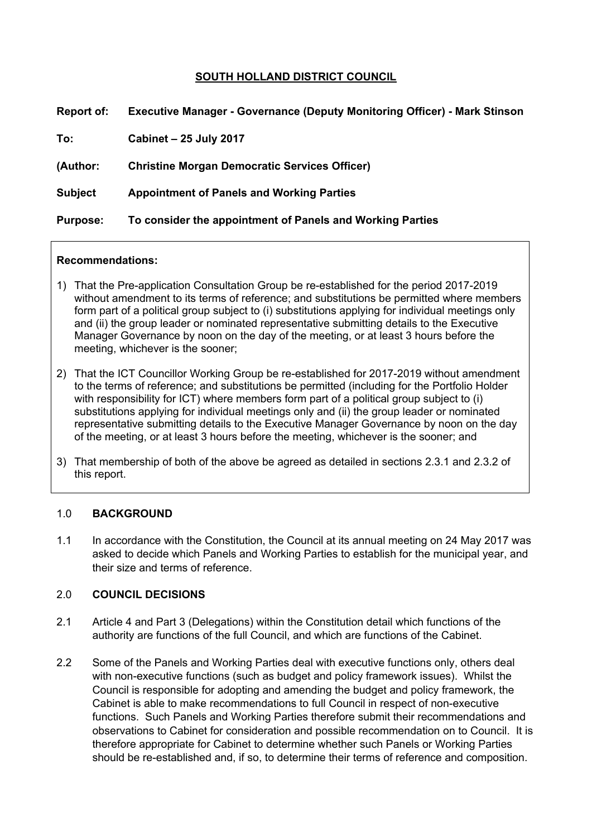# **SOUTH HOLLAND DISTRICT COUNCIL**

| Report of:      | <b>Executive Manager - Governance (Deputy Monitoring Officer) - Mark Stinson</b> |
|-----------------|----------------------------------------------------------------------------------|
| To:             | <b>Cabinet - 25 July 2017</b>                                                    |
| (Author:        | <b>Christine Morgan Democratic Services Officer)</b>                             |
| <b>Subject</b>  | <b>Appointment of Panels and Working Parties</b>                                 |
| <b>Purpose:</b> | To consider the appointment of Panels and Working Parties                        |

#### **Recommendations:**

- 1) That the Pre-application Consultation Group be re-established for the period 2017-2019 without amendment to its terms of reference; and substitutions be permitted where members form part of a political group subject to (i) substitutions applying for individual meetings only and (ii) the group leader or nominated representative submitting details to the Executive Manager Governance by noon on the day of the meeting, or at least 3 hours before the meeting, whichever is the sooner;
- 2) That the ICT Councillor Working Group be re-established for 2017-2019 without amendment to the terms of reference; and substitutions be permitted (including for the Portfolio Holder with responsibility for ICT) where members form part of a political group subject to (i) substitutions applying for individual meetings only and (ii) the group leader or nominated representative submitting details to the Executive Manager Governance by noon on the day of the meeting, or at least 3 hours before the meeting, whichever is the sooner; and
- 3) That membership of both of the above be agreed as detailed in sections 2.3.1 and 2.3.2 of this report.

#### 1.0 **BACKGROUND**

1.1 In accordance with the Constitution, the Council at its annual meeting on 24 May 2017 was asked to decide which Panels and Working Parties to establish for the municipal year, and their size and terms of reference.

#### 2.0 **COUNCIL DECISIONS**

- 2.1 Article 4 and Part 3 (Delegations) within the Constitution detail which functions of the authority are functions of the full Council, and which are functions of the Cabinet.
- 2.2 Some of the Panels and Working Parties deal with executive functions only, others deal with non-executive functions (such as budget and policy framework issues). Whilst the Council is responsible for adopting and amending the budget and policy framework, the Cabinet is able to make recommendations to full Council in respect of non-executive functions. Such Panels and Working Parties therefore submit their recommendations and observations to Cabinet for consideration and possible recommendation on to Council. It is therefore appropriate for Cabinet to determine whether such Panels or Working Parties should be re-established and, if so, to determine their terms of reference and composition.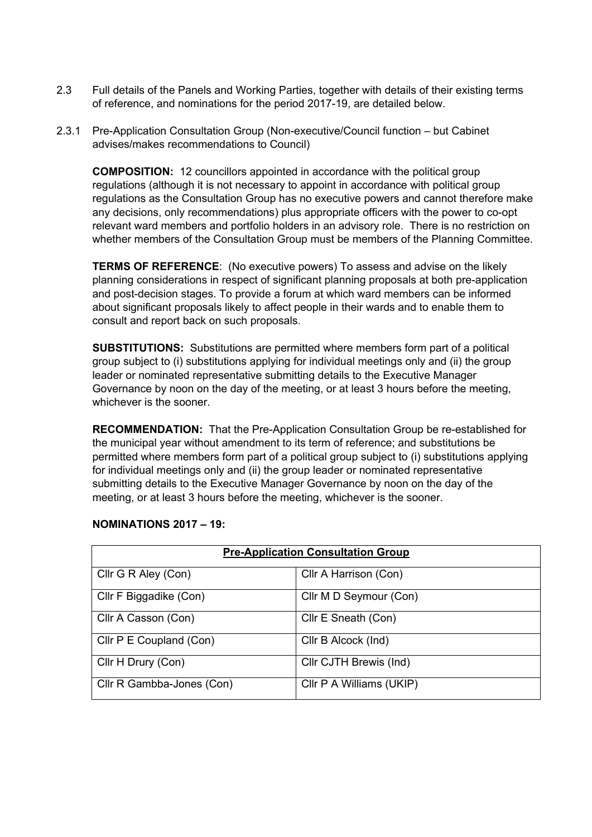- 2.3 Full details of the Panels and Working Parties, together with details of their existing terms of reference, and nominations for the period 2017-19, are detailed below.
- 2.3.1 Pre-Application Consultation Group (Non-executive/Council function but Cabinet advises/makes recommendations to Council)

**COMPOSITION:** 12 councillors appointed in accordance with the political group regulations (although it is not necessary to appoint in accordance with political group regulations as the Consultation Group has no executive powers and cannot therefore make any decisions, only recommendations) plus appropriate officers with the power to co-opt relevant ward members and portfolio holders in an advisory role. There is no restriction on whether members of the Consultation Group must be members of the Planning Committee.

**TERMS OF REFERENCE**: (No executive powers) To assess and advise on the likely planning considerations in respect of significant planning proposals at both pre-application and post-decision stages. To provide a forum at which ward members can be informed about significant proposals likely to affect people in their wards and to enable them to consult and report back on such proposals.

**SUBSTITUTIONS:** Substitutions are permitted where members form part of a political group subject to (i) substitutions applying for individual meetings only and (ii) the group leader or nominated representative submitting details to the Executive Manager Governance by noon on the day of the meeting, or at least 3 hours before the meeting, whichever is the sooner.

**RECOMMENDATION:** That the Pre-Application Consultation Group be re-established for the municipal year without amendment to its term of reference; and substitutions be permitted where members form part of a political group subject to (i) substitutions applying for individual meetings only and (ii) the group leader or nominated representative submitting details to the Executive Manager Governance by noon on the day of the meeting, or at least 3 hours before the meeting, whichever is the sooner.

| <b>Pre-Application Consultation Group</b> |                          |  |  |
|-------------------------------------------|--------------------------|--|--|
| Cllr G R Aley (Con)                       | Cllr A Harrison (Con)    |  |  |
| Cllr F Biggadike (Con)                    | Cllr M D Seymour (Con)   |  |  |
| Cllr A Casson (Con)                       | Cllr E Sneath (Con)      |  |  |
| Cllr P E Coupland (Con)                   | Cllr B Alcock (Ind)      |  |  |
| Cllr H Drury (Con)                        | Cllr CJTH Brewis (Ind)   |  |  |
| Cllr R Gambba-Jones (Con)                 | Cllr P A Williams (UKIP) |  |  |

## **NOMINATIONS 2017 – 19:**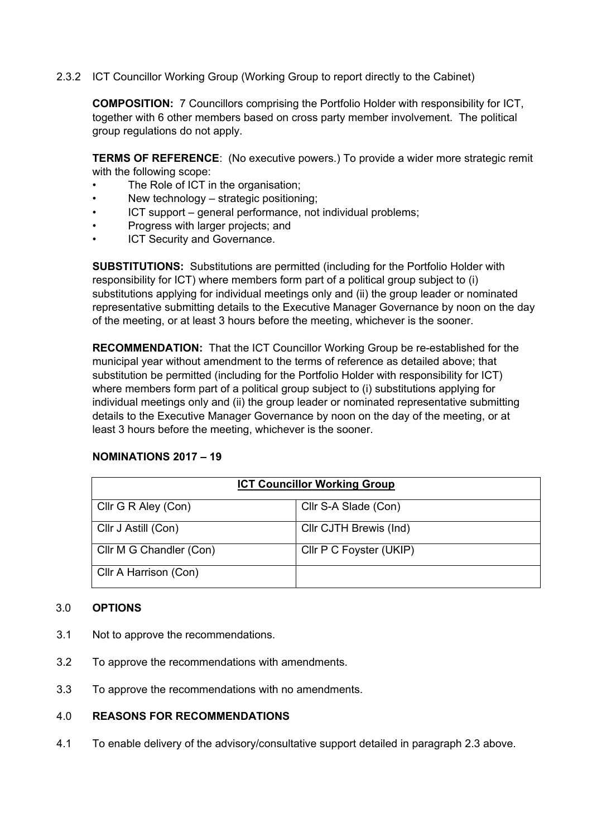## 2.3.2 ICT Councillor Working Group (Working Group to report directly to the Cabinet)

**COMPOSITION:** 7 Councillors comprising the Portfolio Holder with responsibility for ICT, together with 6 other members based on cross party member involvement. The political group regulations do not apply.

**TERMS OF REFERENCE**: (No executive powers.) To provide a wider more strategic remit with the following scope:

- The Role of ICT in the organisation;
- New technology strategic positioning;
- ICT support general performance, not individual problems;
- Progress with larger projects; and
- ICT Security and Governance.

**SUBSTITUTIONS:** Substitutions are permitted (including for the Portfolio Holder with responsibility for ICT) where members form part of a political group subject to (i) substitutions applying for individual meetings only and (ii) the group leader or nominated representative submitting details to the Executive Manager Governance by noon on the day of the meeting, or at least 3 hours before the meeting, whichever is the sooner.

**RECOMMENDATION:** That the ICT Councillor Working Group be re-established for the municipal year without amendment to the terms of reference as detailed above; that substitution be permitted (including for the Portfolio Holder with responsibility for ICT) where members form part of a political group subject to (i) substitutions applying for individual meetings only and (ii) the group leader or nominated representative submitting details to the Executive Manager Governance by noon on the day of the meeting, or at least 3 hours before the meeting, whichever is the sooner.

## **NOMINATIONS 2017 – 19**

| <b>ICT Councillor Working Group</b> |                         |  |  |
|-------------------------------------|-------------------------|--|--|
| Cllr G R Aley (Con)                 | Cllr S-A Slade (Con)    |  |  |
| Cllr J Astill (Con)                 | Cllr CJTH Brewis (Ind)  |  |  |
| Cllr M G Chandler (Con)             | Cllr P C Foyster (UKIP) |  |  |
| Cllr A Harrison (Con)               |                         |  |  |

#### 3.0 **OPTIONS**

- 3.1 Not to approve the recommendations.
- 3.2 To approve the recommendations with amendments.
- 3.3 To approve the recommendations with no amendments.

## 4.0 **REASONS FOR RECOMMENDATIONS**

4.1 To enable delivery of the advisory/consultative support detailed in paragraph 2.3 above.